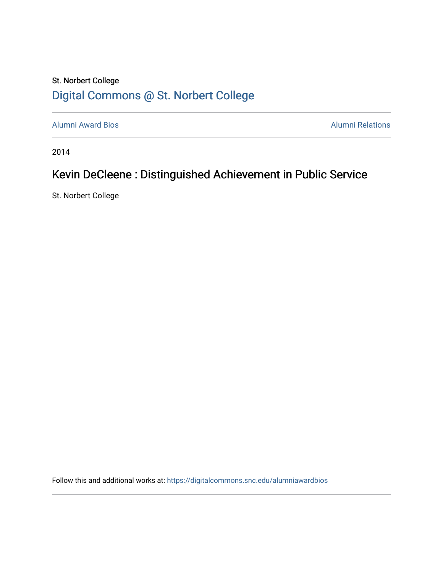## St. Norbert College [Digital Commons @ St. Norbert College](https://digitalcommons.snc.edu/)

[Alumni Award Bios](https://digitalcommons.snc.edu/alumniawardbios) **Alumni Relations** Alumni Relations

2014

# Kevin DeCleene : Distinguished Achievement in Public Service

St. Norbert College

Follow this and additional works at: [https://digitalcommons.snc.edu/alumniawardbios](https://digitalcommons.snc.edu/alumniawardbios?utm_source=digitalcommons.snc.edu%2Falumniawardbios%2F48&utm_medium=PDF&utm_campaign=PDFCoverPages)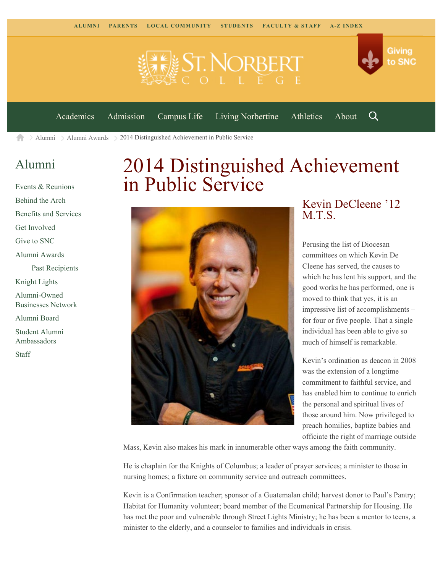



[Academics](https://www.snc.edu/academics) [Admission](https://www.snc.edu/admission) [Campus Life](https://www.snc.edu/campuslife) [Living Norbertine](https://www.snc.edu/livingnorbertine) [Athletics](https://www.snc.edu/athletics) [About](https://www.snc.edu/about)

Q

 $\geq$  [Alumni](https://www.snc.edu/alumni/)  $\geq$  [Alumni Awards](https://www.snc.edu/alumni/awards/)  $\geq$  2014 Distinguished Achievement in Public Service A

### [Alumni](https://www.snc.edu/alumni/index.html)

[Events & Reunions](https://www.snc.edu/alumni/event/index.html) [Behind the Arch](https://www.snc.edu/alumni/event/behindthearch/) [Benefits and Services](https://www.snc.edu/alumni/benefits.html) [Get Involved](https://www.snc.edu/alumni/getinvolved.html) [Give to SNC](http://giving.snc.edu/) [Alumni Awards](https://www.snc.edu/alumni/awards/index.html) [Past Recipients](https://www.snc.edu/alumni/awards/recipients.html) [Knight Lights](https://www.snc.edu/alumni/knightlights/index.html) [Alumni-Owned](https://www.snc.edu/alumni/directory/index.html) [Businesses Network](https://www.snc.edu/alumni/directory/index.html) [Alumni Board](https://www.snc.edu/alumni/alumniboard.html) [Student Alumni](https://www.snc.edu/alumni/saa.html) [Ambassadors](https://www.snc.edu/alumni/saa.html) [Staff](https://www.snc.edu/alumni/contactus.html)

# 2014 Distinguished Achievement in Public Service



#### Kevin DeCleene '12 M.T.S.

Perusing the list of Diocesan committees on which Kevin De Cleene has served, the causes to which he has lent his support, and the good works he has performed, one is moved to think that yes, it is an impressive list of accomplishments – for four or five people. That a single individual has been able to give so much of himself is remarkable.

Kevin's ordination as deacon in 2008 was the extension of a longtime commitment to faithful service, and has enabled him to continue to enrich the personal and spiritual lives of those around him. Now privileged to preach homilies, baptize babies and officiate the right of marriage outside

Mass, Kevin also makes his mark in innumerable other ways among the faith community.

He is chaplain for the Knights of Columbus; a leader of prayer services; a minister to those in nursing homes; a fixture on community service and outreach committees.

Kevin is a Confirmation teacher; sponsor of a Guatemalan child; harvest donor to Paul's Pantry; Habitat for Humanity volunteer; board member of the Ecumenical Partnership for Housing. He has met the poor and vulnerable through Street Lights Ministry; he has been a mentor to teens, a minister to the elderly, and a counselor to families and individuals in crisis.